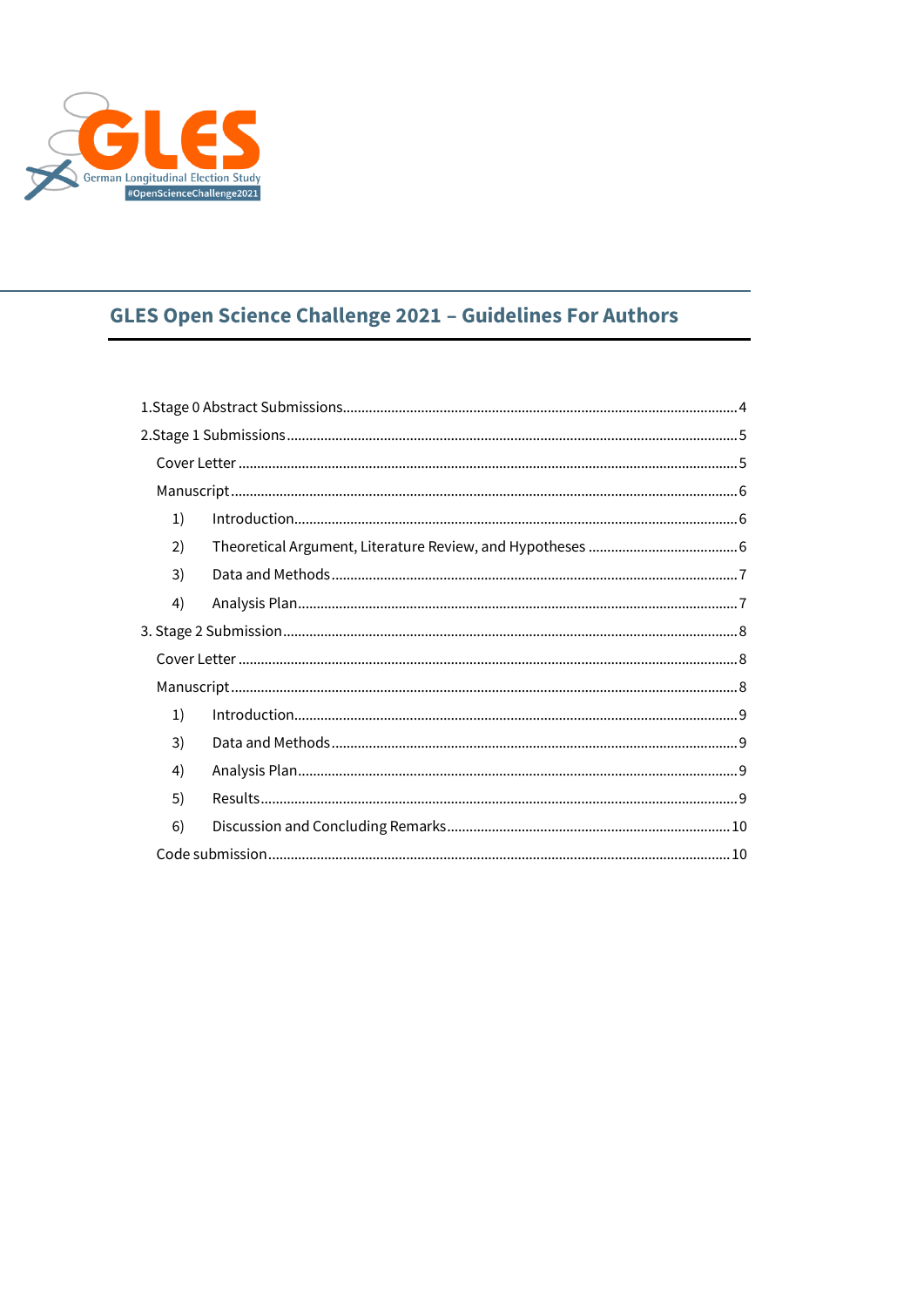

# **GLES Open Science Challenge 2021 - Guidelines For Authors**

| 1) |  |
|----|--|
| 2) |  |
| 3) |  |
| 4) |  |
|    |  |
|    |  |
|    |  |
| 1) |  |
| 3) |  |
| 4) |  |
| 5) |  |
| 6) |  |
|    |  |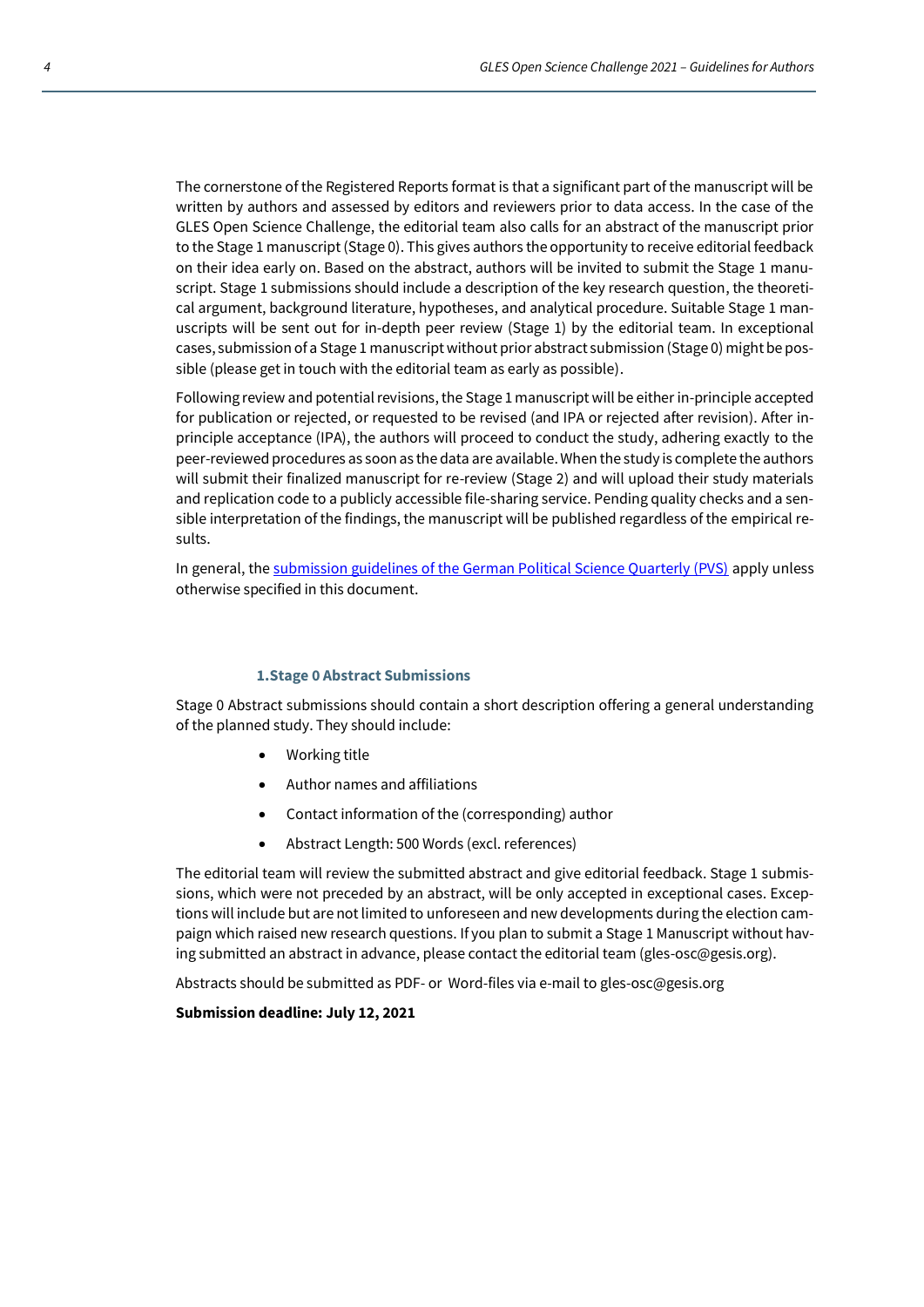The cornerstone of the Registered Reports format is that a significant part of the manuscript will be written by authors and assessed by editors and reviewers prior to data access. In the case of the GLES Open Science Challenge, the editorial team also calls for an abstract of the manuscript prior to the Stage 1 manuscript (Stage 0). This gives authors the opportunity to receive editorial feedback on their idea early on. Based on the abstract, authors will be invited to submit the Stage 1 manuscript. Stage 1 submissions should include a description of the key research question, the theoretical argument, background literature, hypotheses, and analytical procedure. Suitable Stage 1 manuscripts will be sent out for in-depth peer review (Stage 1) by the editorial team. In exceptional cases, submission of a Stage 1 manuscript without prior abstract submission (Stage 0) might be possible (please get in touch with the editorial team as early as possible).

Following review and potential revisions, the Stage 1 manuscript will be either in-principle accepted for publication or rejected, or requested to be revised (and IPA or rejected after revision). After inprinciple acceptance (IPA), the authors will proceed to conduct the study, adhering exactly to the peer-reviewed procedures as soon as the data are available. When the study is complete the authors will submit their finalized manuscript for re-review (Stage 2) and will upload their study materials and replication code to a publicly accessible file-sharing service. Pending quality checks and a sensible interpretation of the findings, the manuscript will be published regardless of the empirical results.

In general, th[e submission guidelines of the German Political Science Quarterly \(PVS\)](https://www.springer.com/journal/11615/submission-guidelines#Instructions%20for%20Authors_Manuscript%20Submission) apply unless otherwise specified in this document.

#### **1.Stage 0 Abstract Submissions**

<span id="page-1-0"></span>Stage 0 Abstract submissions should contain a short description offering a general understanding of the planned study. They should include:

- Working title
- Author names and affiliations
- Contact information of the (corresponding) author
- Abstract Length: 500 Words (excl. references)

The editorial team will review the submitted abstract and give editorial feedback. Stage 1 submissions, which were not preceded by an abstract, will be only accepted in exceptional cases. Exceptions will include but are not limited to unforeseen and new developments during the election campaign which raised new research questions. If you plan to submit a Stage 1 Manuscript without having submitted an abstract in advance, please contact the editorial team (gles-osc@gesis.org).

Abstracts should be submitted as PDF- or Word-files via e-mail to gles-osc@gesis.org

#### **Submission deadline: July 12, 2021**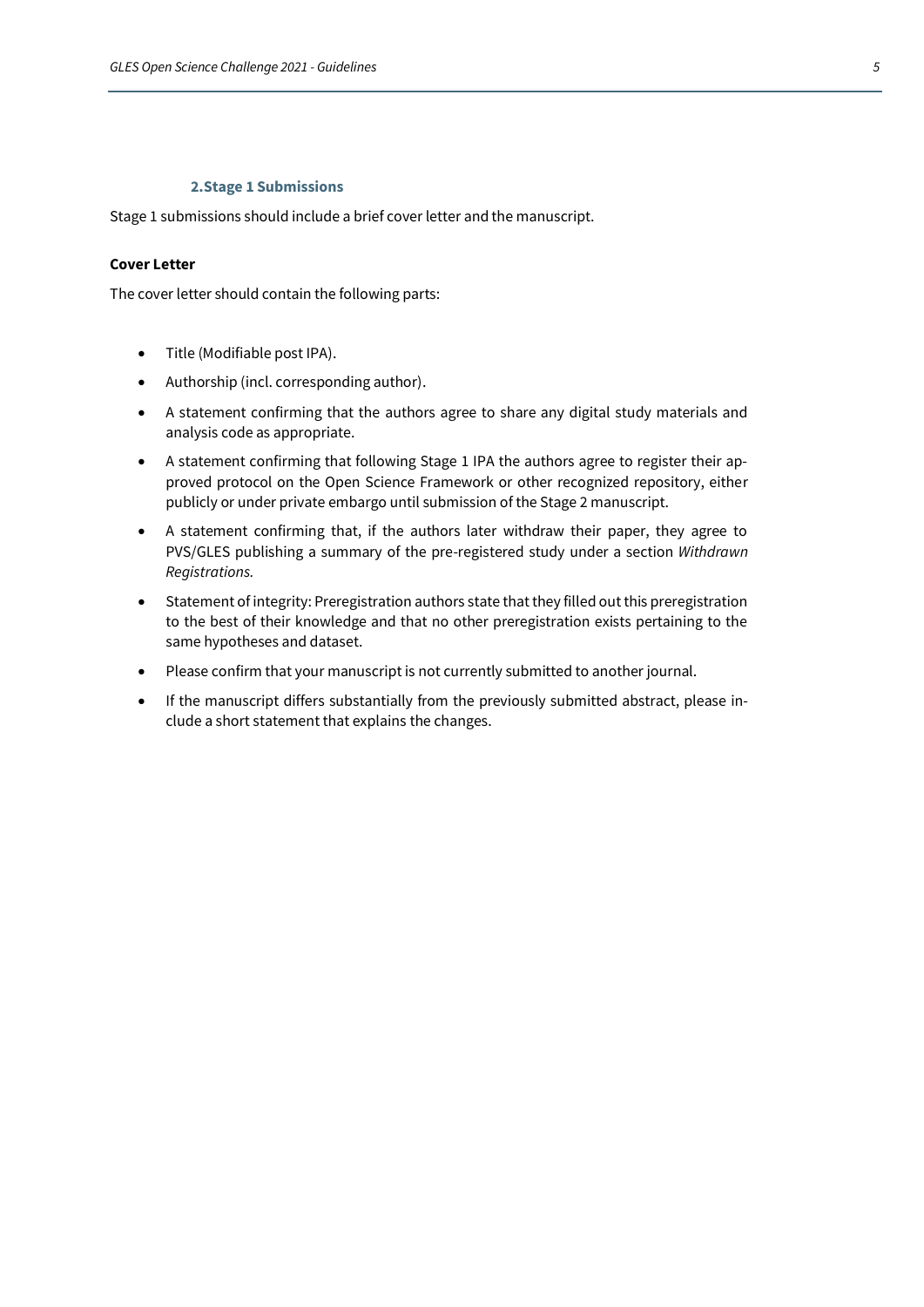#### **2.Stage 1 Submissions**

<span id="page-2-0"></span>Stage 1 submissions should include a brief cover letter and the manuscript.

# <span id="page-2-1"></span>**Cover Letter**

The cover letter should contain the following parts:

- Title (Modifiable post IPA).
- Authorship (incl. corresponding author).
- A statement confirming that the authors agree to share any digital study materials and analysis code as appropriate.
- A statement confirming that following Stage 1 IPA the authors agree to register their approved protocol on the Open Science Framework or other recognized repository, either publicly or under private embargo until submission of the Stage 2 manuscript.
- A statement confirming that, if the authors later withdraw their paper, they agree to PVS/GLES publishing a summary of the pre-registered study under a section *Withdrawn Registrations.*
- Statement of integrity: Preregistration authors state that they filled out this preregistration to the best of their knowledge and that no other preregistration exists pertaining to the same hypotheses and dataset.
- Please confirm that your manuscript is not currently submitted to another journal.
- If the manuscript differs substantially from the previously submitted abstract, please include a short statement that explains the changes.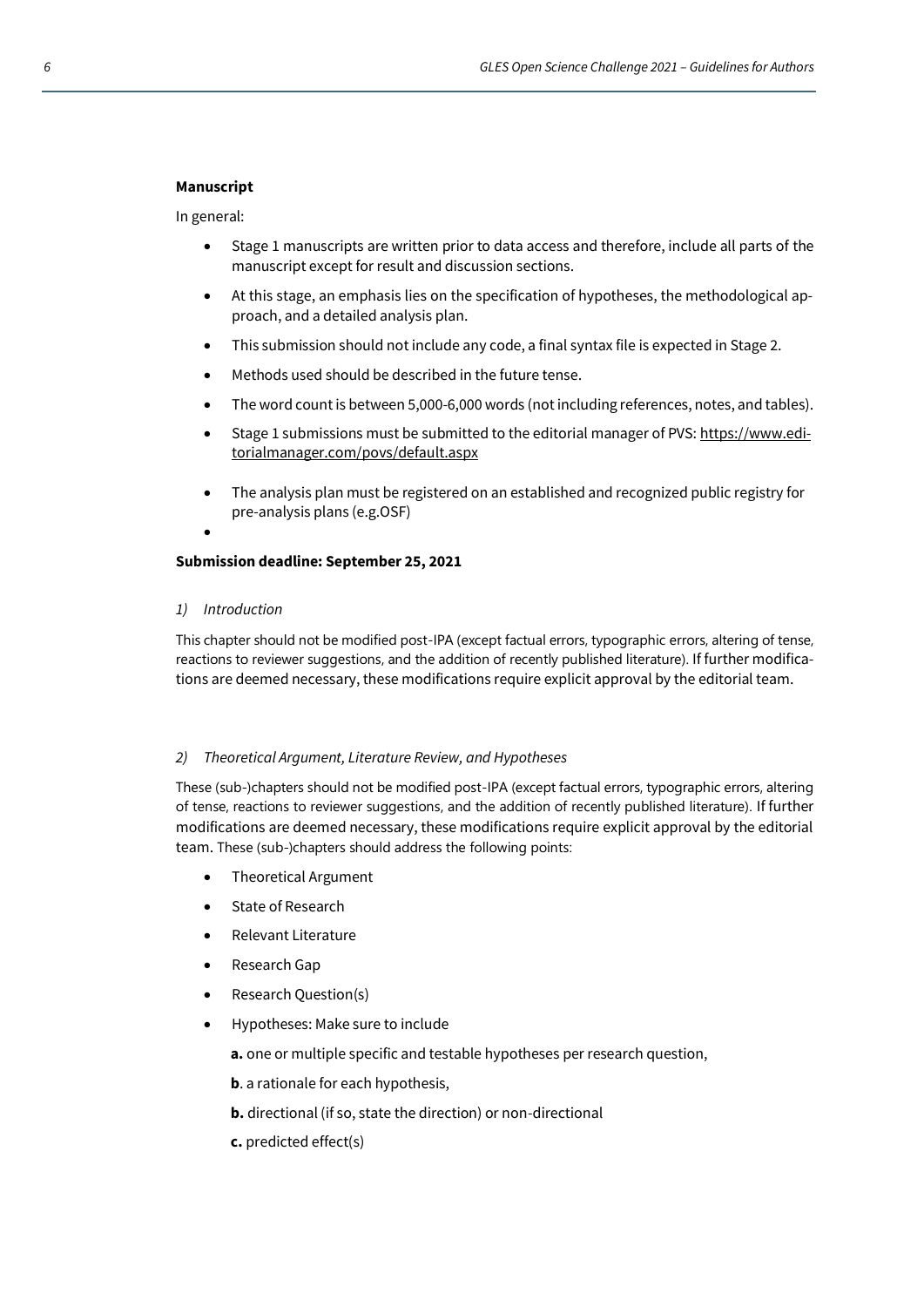# <span id="page-3-0"></span>**Manuscript**

In general:

- Stage 1 manuscripts are written prior to data access and therefore, include all parts of the manuscript except for result and discussion sections.
- At this stage, an emphasis lies on the specification of hypotheses, the methodological approach, and a detailed analysis plan.
- This submission should not include any code, a final syntax file is expected in Stage 2.
- Methods used should be described in the future tense.
- The word count is between 5,000-6,000 words (not including references, notes, and tables).
- Stage 1 submissions must be submitted to the editorial manager of PVS[: https://www.edi](https://www.editorialmanager.com/povs/default.aspx)[torialmanager.com/povs/default.aspx](https://www.editorialmanager.com/povs/default.aspx)
- The analysis plan must be registered on an established and recognized public registry for pre-analysis plans (e.g.OSF)

# **Submission deadline: September 25, 2021**

<span id="page-3-1"></span>*1) Introduction* 

•

This chapter should not be modified post-IPA (except factual errors, typographic errors, altering of tense, reactions to reviewer suggestions, and the addition of recently published literature). If further modifications are deemed necessary, these modifications require explicit approval by the editorial team.

## <span id="page-3-2"></span>*2) Theoretical Argument, Literature Review, and Hypotheses*

These (sub-)chapters should not be modified post-IPA (except factual errors, typographic errors, altering of tense, reactions to reviewer suggestions, and the addition of recently published literature). If further modifications are deemed necessary, these modifications require explicit approval by the editorial team. These (sub-)chapters should address the following points:

- Theoretical Argument
- State of Research
- Relevant Literature
- Research Gap
- Research Question(s)
- Hypotheses: Make sure to include
	- **a.** one or multiple specific and testable hypotheses per research question,
	- **b**. a rationale for each hypothesis,
	- **b.** directional (if so, state the direction) or non-directional
	- **c.** predicted effect(s)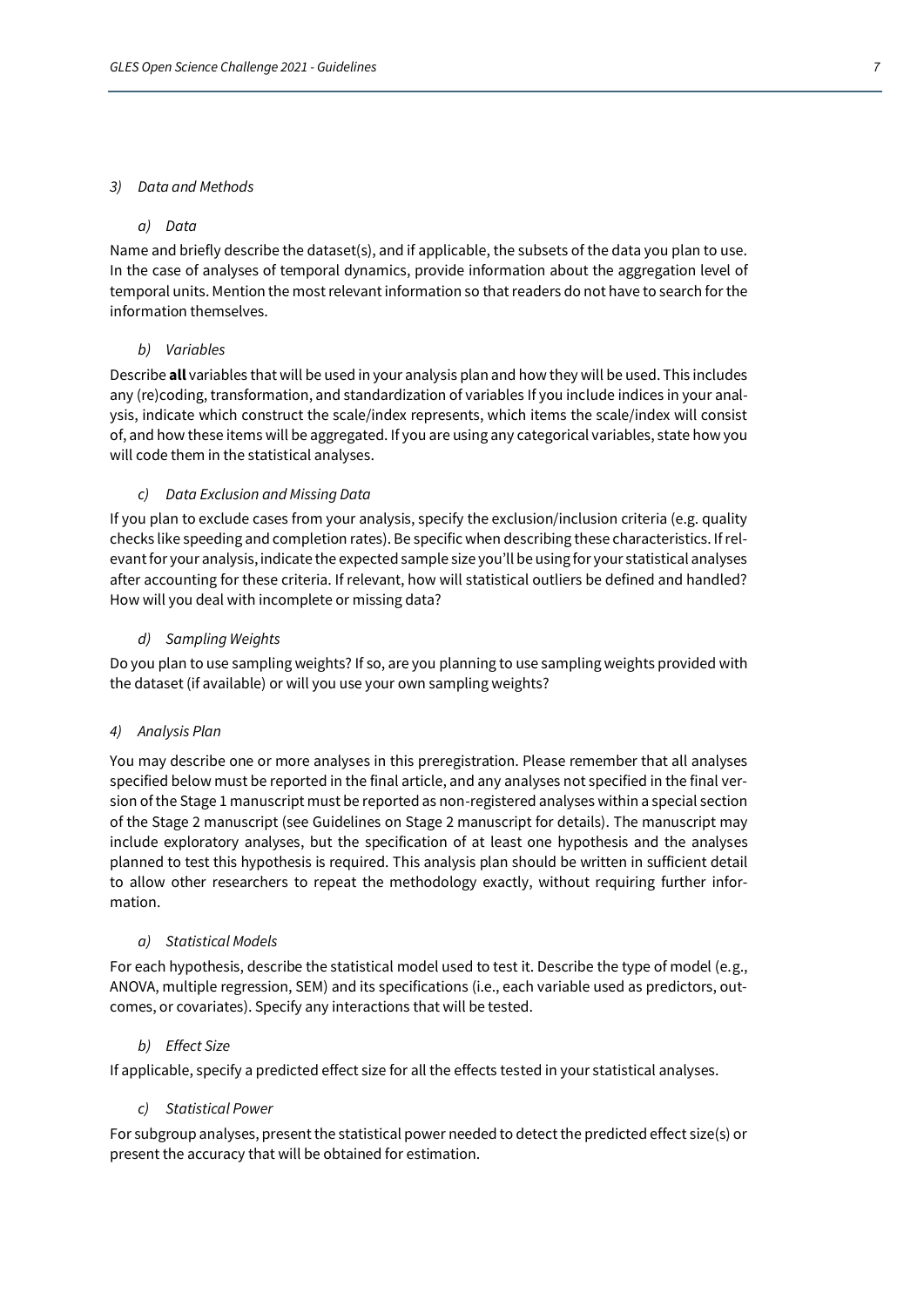## <span id="page-4-0"></span>*3) Data and Methods*

## *a) Data*

Name and briefly describe the dataset(s), and if applicable, the subsets of the data you plan to use. In the case of analyses of temporal dynamics, provide information about the aggregation level of temporal units. Mention the most relevant information so that readers do not have to search for the information themselves.

# *b) Variables*

Describe **all** variables that will be used in your analysis plan and how they will be used. This includes any (re)coding, transformation, and standardization of variables If you include indices in your analysis, indicate which construct the scale/index represents, which items the scale/index will consist of, and how these items will be aggregated. If you are using any categorical variables, state how you will code them in the statistical analyses.

## *c) Data Exclusion and Missing Data*

If you plan to exclude cases from your analysis, specify the exclusion/inclusion criteria (e.g. quality checks like speeding and completion rates). Be specific when describing these characteristics. If relevant for your analysis, indicate the expected sample size you'll be using for your statistical analyses after accounting for these criteria. If relevant, how will statistical outliers be defined and handled? How will you deal with incomplete or missing data?

## *d) Sampling Weights*

Do you plan to use sampling weights? If so, are you planning to use sampling weights provided with the dataset (if available) or will you use your own sampling weights?

## <span id="page-4-1"></span>*4) Analysis Plan*

You may describe one or more analyses in this preregistration. Please remember that all analyses specified below must be reported in the final article, and any analyses not specified in the final version of the Stage 1 manuscript must be reported as non-registered analyses within a special section of the Stage 2 manuscript (see Guidelines on Stage 2 manuscript for details). The manuscript may include exploratory analyses, but the specification of at least one hypothesis and the analyses planned to test this hypothesis is required. This analysis plan should be written in sufficient detail to allow other researchers to repeat the methodology exactly, without requiring further information.

## *a) Statistical Models*

For each hypothesis, describe the statistical model used to test it. Describe the type of model (e.g., ANOVA, multiple regression, SEM) and its specifications (i.e., each variable used as predictors, outcomes, or covariates). Specify any interactions that will be tested.

## *b) Effect Size*

If applicable, specify a predicted effect size for all the effects tested in your statistical analyses.

## *c) Statistical Power*

For subgroup analyses, present the statistical power needed to detect the predicted effect size(s) or present the accuracy that will be obtained for estimation.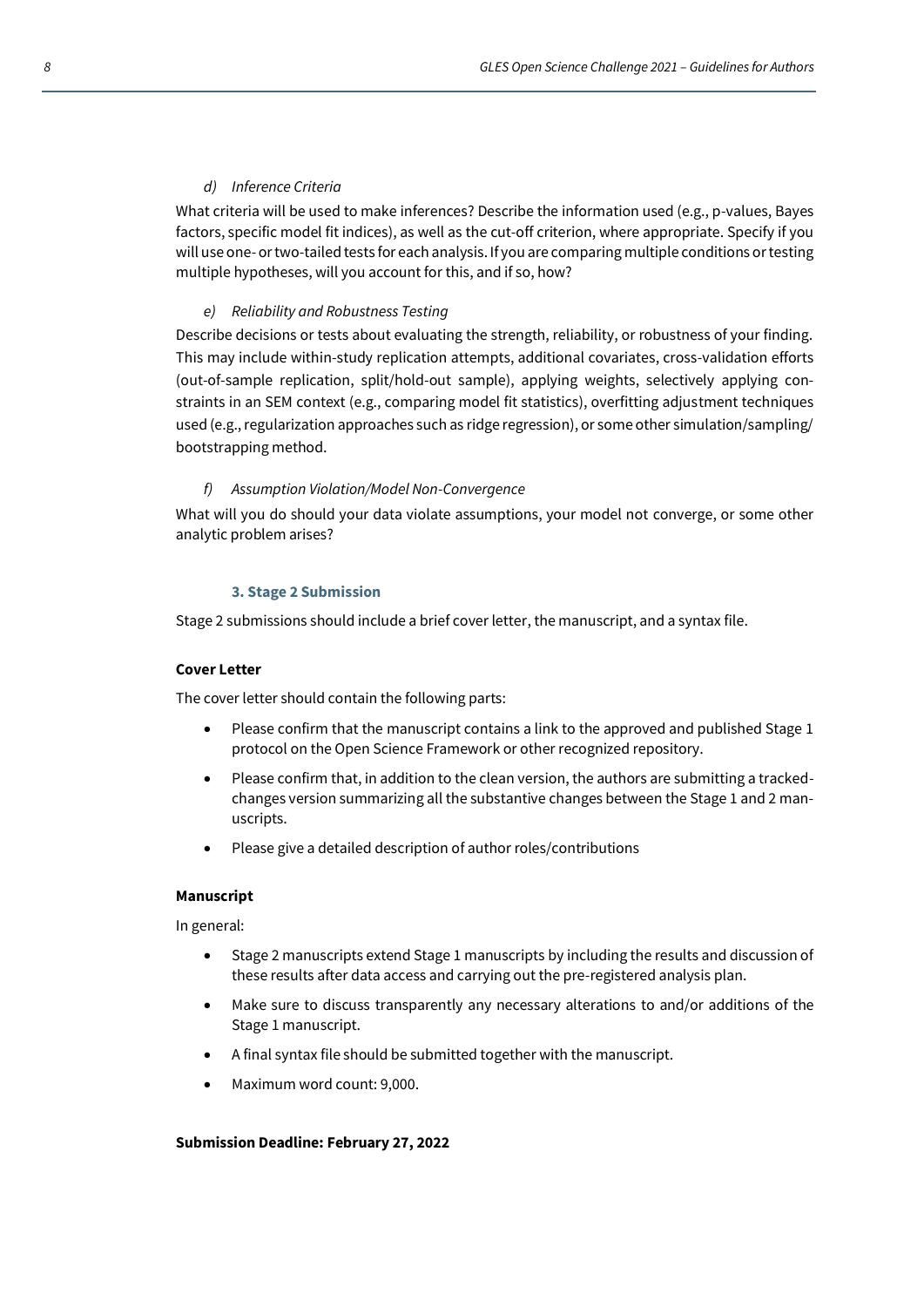# *d) Inference Criteria*

What criteria will be used to make inferences? Describe the information used (e.g., p-values, Bayes factors, specific model fit indices), as well as the cut-off criterion, where appropriate. Specify if you will use one- or two-tailed tests for each analysis. If you are comparing multiple conditions or testing multiple hypotheses, will you account for this, and if so, how?

# *e) Reliability and Robustness Testing*

Describe decisions or tests about evaluating the strength, reliability, or robustness of your finding. This may include within-study replication attempts, additional covariates, cross-validation efforts (out-of-sample replication, split/hold-out sample), applying weights, selectively applying constraints in an SEM context (e.g., comparing model fit statistics), overfitting adjustment techniques used (e.g., regularization approaches such as ridge regression), or some other simulation/sampling/ bootstrapping method.

# *f) Assumption Violation/Model Non-Convergence*

What will you do should your data violate assumptions, your model not converge, or some other analytic problem arises?

## <span id="page-5-0"></span>**3. Stage 2 Submission**

Stage 2 submissions should include a brief cover letter, the manuscript, and a syntax file.

## <span id="page-5-1"></span>**Cover Letter**

The cover letter should contain the following parts:

- Please confirm that the manuscript contains a link to the approved and published Stage 1 protocol on the Open Science Framework or other recognized repository.
- Please confirm that, in addition to the clean version, the authors are submitting a trackedchanges version summarizing all the substantive changes between the Stage 1 and 2 manuscripts.
- Please give a detailed description of author roles/contributions

## <span id="page-5-2"></span>**Manuscript**

In general:

- Stage 2 manuscripts extend Stage 1 manuscripts by including the results and discussion of these results after data access and carrying out the pre-registered analysis plan.
- Make sure to discuss transparently any necessary alterations to and/or additions of the Stage 1 manuscript.
- A final syntax file should be submitted together with the manuscript.
- Maximum word count: 9,000.

## **Submission Deadline: February 27, 2022**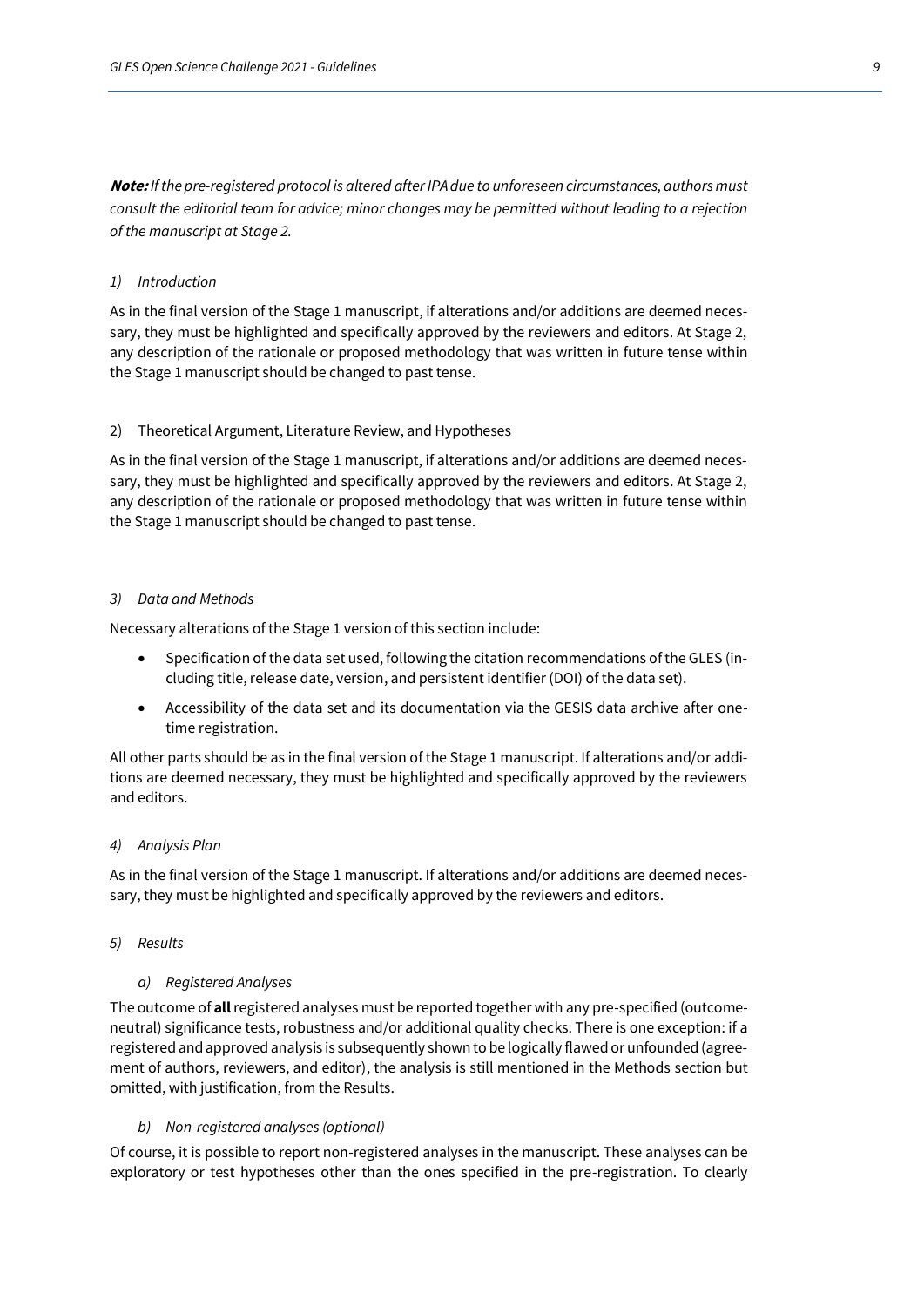**Note:** *If the pre-registered protocol is altered after IPA due to unforeseen circumstances, authors must consult the editorial team for advice; minor changes may be permitted without leading to a rejection of the manuscript at Stage 2.* 

## <span id="page-6-0"></span>*1) Introduction*

As in the final version of the Stage 1 manuscript, if alterations and/or additions are deemed necessary, they must be highlighted and specifically approved by the reviewers and editors. At Stage 2, any description of the rationale or proposed methodology that was written in future tense within the Stage 1 manuscript should be changed to past tense.

### 2) Theoretical Argument, Literature Review, and Hypotheses

As in the final version of the Stage 1 manuscript, if alterations and/or additions are deemed necessary, they must be highlighted and specifically approved by the reviewers and editors. At Stage 2, any description of the rationale or proposed methodology that was written in future tense within the Stage 1 manuscript should be changed to past tense.

#### <span id="page-6-1"></span>*3) Data and Methods*

Necessary alterations of the Stage 1 version of this section include:

- Specification of the data set used, following the citation recommendations of the GLES (including title, release date, version, and persistent identifier (DOI) of the data set).
- Accessibility of the data set and its documentation via the GESIS data archive after onetime registration.

All other parts should be as in the final version of the Stage 1 manuscript. If alterations and/or additions are deemed necessary, they must be highlighted and specifically approved by the reviewers and editors.

#### <span id="page-6-2"></span>*4) Analysis Plan*

As in the final version of the Stage 1 manuscript. If alterations and/or additions are deemed necessary, they must be highlighted and specifically approved by the reviewers and editors.

#### <span id="page-6-3"></span>*5) Results*

### *a) Registered Analyses*

The outcome of **all**registered analyses must be reported together with any pre-specified (outcomeneutral) significance tests, robustness and/or additional quality checks. There is one exception: if a registered and approved analysis is subsequently shown to be logically flawed or unfounded (agreement of authors, reviewers, and editor), the analysis is still mentioned in the Methods section but omitted, with justification, from the Results.

#### *b) Non-registered analyses (optional)*

Of course, it is possible to report non-registered analyses in the manuscript. These analyses can be exploratory or test hypotheses other than the ones specified in the pre-registration. To clearly